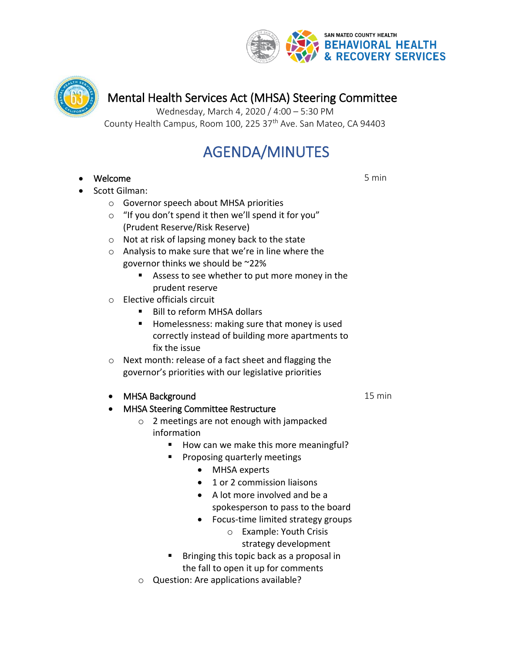



# Mental Health Services Act (MHSA) Steering Committee

Wednesday, March 4, 2020 / 4:00 – 5:30 PM County Health Campus, Room 100, 225 37<sup>th</sup> Ave. San Mateo, CA 94403

# AGENDA/MINUTES

- Welcome
- Scott Gilman:
	- o Governor speech about MHSA priorities
	- $\circ$  "If you don't spend it then we'll spend it for you" (Prudent Reserve/Risk Reserve)
	- o Not at risk of lapsing money back to the state
	- o Analysis to make sure that we're in line where the governor thinks we should be ~22%
		- Assess to see whether to put more money in the prudent reserve
	- o Elective officials circuit
		- Bill to reform MHSA dollars
		- Homelessness: making sure that money is used correctly instead of building more apartments to fix the issue
	- o Next month: release of a fact sheet and flagging the governor's priorities with our legislative priorities
	- MHSA Background
	- MHSA Steering Committee Restructure
		- o 2 meetings are not enough with jampacked information
			- How can we make this more meaningful?
			- Proposing quarterly meetings
				- MHSA experts
				- 1 or 2 commission liaisons
				- A lot more involved and be a spokesperson to pass to the board
				- Focus-time limited strategy groups
					- o Example: Youth Crisis

strategy development

- Bringing this topic back as a proposal in the fall to open it up for comments
- o Question: Are applications available?

15 min

5 min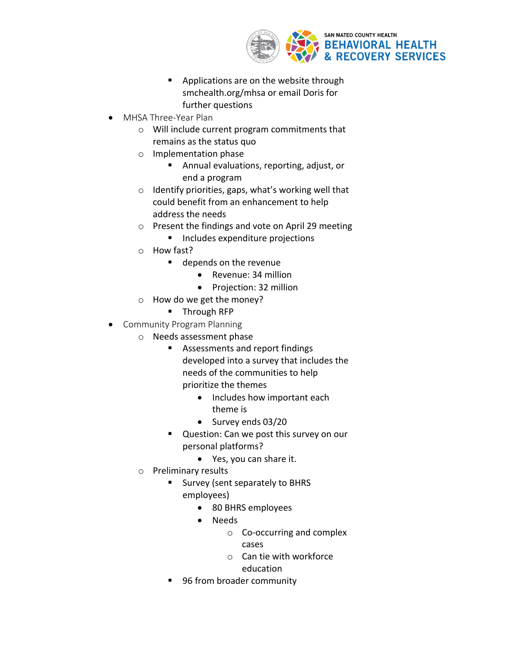

- Applications are on the website through smchealth.org/mhsa or email Doris for further questions
- MHSA Three-Year Plan
	- o Will include current program commitments that remains as the status quo
	- o Implementation phase
		- Annual evaluations, reporting, adjust, or end a program
	- o Identify priorities, gaps, what's working well that could benefit from an enhancement to help address the needs
	- o Present the findings and vote on April 29 meeting
		- Includes expenditure projections
	- o How fast?
		- depends on the revenue
			- Revenue: 34 million
			- Projection: 32 million
	- o How do we get the money?
		- Through RFP
- Community Program Planning
	- o Needs assessment phase
		- Assessments and report findings developed into a survey that includes the needs of the communities to help prioritize the themes
			- Includes how important each theme is
			- Survey ends 03/20
		- Question: Can we post this survey on our personal platforms?
			- Yes, you can share it.
		- o Preliminary results
			- Survey (sent separately to BHRS employees)
				- 80 BHRS employees
				- Needs
					- o Co-occurring and complex

cases

- o Can tie with workforce education
- 96 from broader community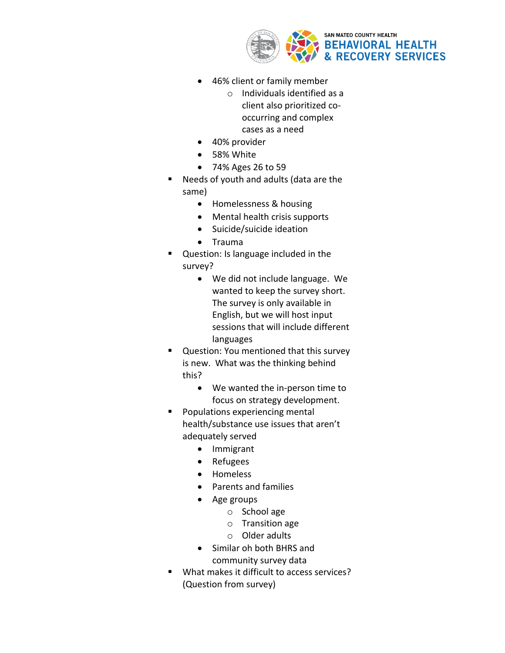

- 46% client or family member
	- o Individuals identified as a client also prioritized cooccurring and complex cases as a need
- 40% provider
- 58% White
- 74% Ages 26 to 59
- Needs of youth and adults (data are the same)
	- Homelessness & housing
	- Mental health crisis supports
	- Suicide/suicide ideation
	- Trauma
- Question: Is language included in the survey?
	- We did not include language. We wanted to keep the survey short. The survey is only available in English, but we will host input sessions that will include different languages
- Question: You mentioned that this survey is new. What was the thinking behind this?
	- We wanted the in-person time to focus on strategy development.
- Populations experiencing mental health/substance use issues that aren't adequately served
	- Immigrant
	- Refugees
	- Homeless
	- Parents and families
	- Age groups
		- o School age
		- o Transition age
		- o Older adults
	- Similar oh both BHRS and community survey data
- What makes it difficult to access services? (Question from survey)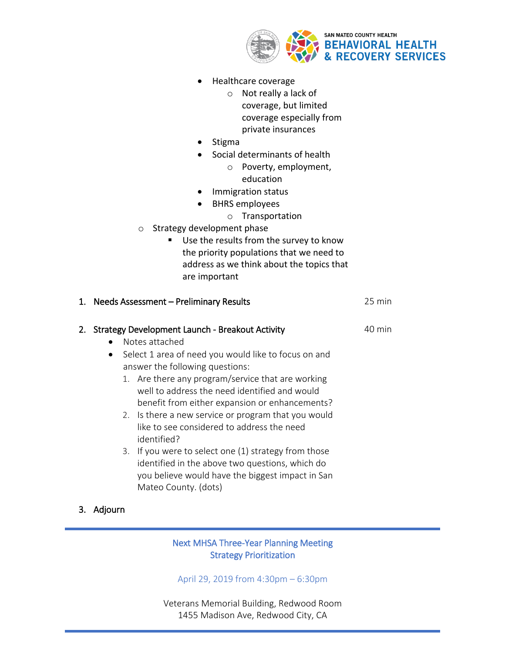

- Healthcare coverage
	- o Not really a lack of coverage, but limited coverage especially from private insurances
- Stigma
- Social determinants of health
	- o Poverty, employment, education
- Immigration status
- BHRS employees
	- o Transportation
- o Strategy development phase
	- Use the results from the survey to know the priority populations that we need to address as we think about the topics that are important

| 1. Needs Assessment - Preliminary Results |                                                                                                                                                                                                                                                                                                                                                                                                                                                                                                                                                                                                                                    | 25 min |
|-------------------------------------------|------------------------------------------------------------------------------------------------------------------------------------------------------------------------------------------------------------------------------------------------------------------------------------------------------------------------------------------------------------------------------------------------------------------------------------------------------------------------------------------------------------------------------------------------------------------------------------------------------------------------------------|--------|
| $\bullet$                                 | 2. Strategy Development Launch - Breakout Activity<br>Notes attached<br>Select 1 area of need you would like to focus on and<br>answer the following questions:<br>1. Are there any program/service that are working<br>well to address the need identified and would<br>benefit from either expansion or enhancements?<br>2. Is there a new service or program that you would<br>like to see considered to address the need<br>identified?<br>3. If you were to select one (1) strategy from those<br>identified in the above two questions, which do<br>you believe would have the biggest impact in San<br>Mateo County. (dots) | 40 min |

# 3. Adjourn

# Next MHSA Three-Year Planning Meeting Strategy Prioritization

April 29, 2019 from 4:30pm – 6:30pm

Veterans Memorial Building, Redwood Room 1455 Madison Ave, Redwood City, CA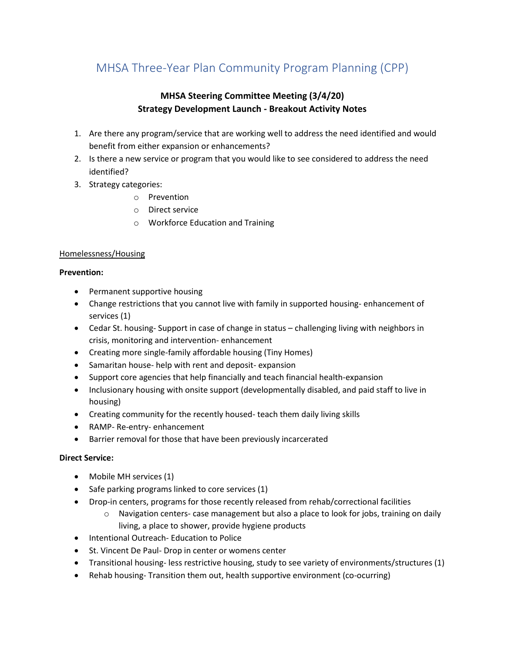# MHSA Three-Year Plan Community Program Planning (CPP)

# **MHSA Steering Committee Meeting (3/4/20) Strategy Development Launch - Breakout Activity Notes**

- 1. Are there any program/service that are working well to address the need identified and would benefit from either expansion or enhancements?
- 2. Is there a new service or program that you would like to see considered to address the need identified?
- 3. Strategy categories:
	- o Prevention
	- o Direct service
	- o Workforce Education and Training

# Homelessness/Housing

### **Prevention:**

- Permanent supportive housing
- Change restrictions that you cannot live with family in supported housing- enhancement of services (1)
- Cedar St. housing- Support in case of change in status challenging living with neighbors in crisis, monitoring and intervention- enhancement
- Creating more single-family affordable housing (Tiny Homes)
- Samaritan house- help with rent and deposit- expansion
- Support core agencies that help financially and teach financial health-expansion
- Inclusionary housing with onsite support (developmentally disabled, and paid staff to live in housing)
- Creating community for the recently housed- teach them daily living skills
- RAMP- Re-entry- enhancement
- Barrier removal for those that have been previously incarcerated

# **Direct Service:**

- Mobile MH services (1)
- Safe parking programs linked to core services (1)
- Drop-in centers, programs for those recently released from rehab/correctional facilities
	- $\circ$  Navigation centers- case management but also a place to look for jobs, training on daily living, a place to shower, provide hygiene products
- Intentional Outreach- Education to Police
- St. Vincent De Paul- Drop in center or womens center
- Transitional housing- less restrictive housing, study to see variety of environments/structures (1)
- Rehab housing- Transition them out, health supportive environment (co-ocurring)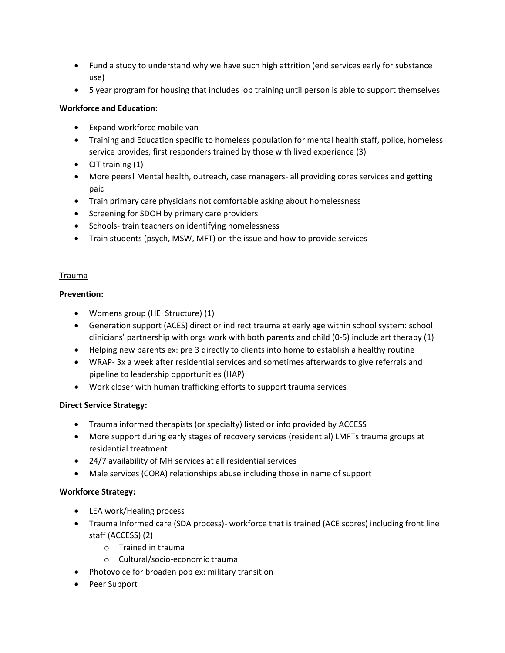- Fund a study to understand why we have such high attrition (end services early for substance use)
- 5 year program for housing that includes job training until person is able to support themselves

# **Workforce and Education:**

- Expand workforce mobile van
- Training and Education specific to homeless population for mental health staff, police, homeless service provides, first responders trained by those with lived experience (3)
- CIT training (1)
- More peers! Mental health, outreach, case managers- all providing cores services and getting paid
- Train primary care physicians not comfortable asking about homelessness
- Screening for SDOH by primary care providers
- Schools- train teachers on identifying homelessness
- Train students (psych, MSW, MFT) on the issue and how to provide services

# Trauma

# **Prevention:**

- Womens group (HEI Structure) (1)
- Generation support (ACES) direct or indirect trauma at early age within school system: school clinicians' partnership with orgs work with both parents and child (0-5) include art therapy (1)
- Helping new parents ex: pre 3 directly to clients into home to establish a healthy routine
- WRAP- 3x a week after residential services and sometimes afterwards to give referrals and pipeline to leadership opportunities (HAP)
- Work closer with human trafficking efforts to support trauma services

# **Direct Service Strategy:**

- Trauma informed therapists (or specialty) listed or info provided by ACCESS
- More support during early stages of recovery services (residential) LMFTs trauma groups at residential treatment
- 24/7 availability of MH services at all residential services
- Male services (CORA) relationships abuse including those in name of support

# **Workforce Strategy:**

- LEA work/Healing process
- Trauma Informed care (SDA process)- workforce that is trained (ACE scores) including front line staff (ACCESS) (2)
	- o Trained in trauma
	- o Cultural/socio-economic trauma
- Photovoice for broaden pop ex: military transition
- Peer Support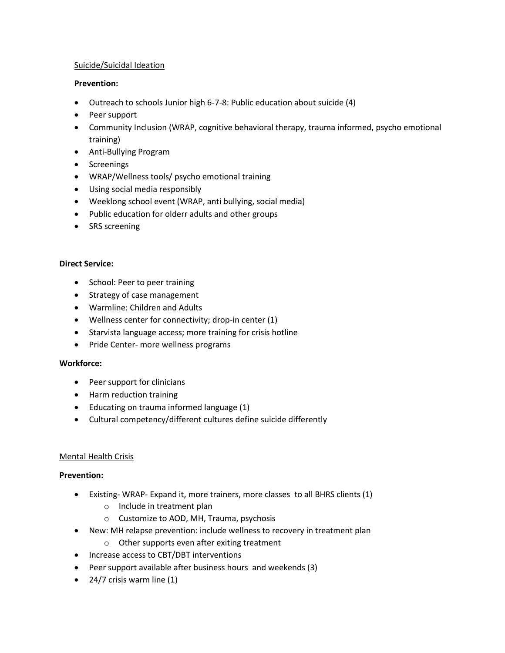### Suicide/Suicidal Ideation

### **Prevention:**

- Outreach to schools Junior high 6-7-8: Public education about suicide (4)
- Peer support
- Community Inclusion (WRAP, cognitive behavioral therapy, trauma informed, psycho emotional training)
- Anti-Bullying Program
- Screenings
- WRAP/Wellness tools/ psycho emotional training
- Using social media responsibly
- Weeklong school event (WRAP, anti bullying, social media)
- Public education for olderr adults and other groups
- SRS screening

### **Direct Service:**

- School: Peer to peer training
- Strategy of case management
- Warmline: Children and Adults
- Wellness center for connectivity; drop-in center (1)
- Starvista language access; more training for crisis hotline
- Pride Center- more wellness programs

#### **Workforce:**

- Peer support for clinicians
- Harm reduction training
- Educating on trauma informed language (1)
- Cultural competency/different cultures define suicide differently

# Mental Health Crisis

#### **Prevention:**

- Existing- WRAP- Expand it, more trainers, more classes to all BHRS clients (1)
	- o Include in treatment plan
	- o Customize to AOD, MH, Trauma, psychosis
- New: MH relapse prevention: include wellness to recovery in treatment plan
	- o Other supports even after exiting treatment
- Increase access to CBT/DBT interventions
- Peer support available after business hours and weekends (3)
- 24/7 crisis warm line (1)